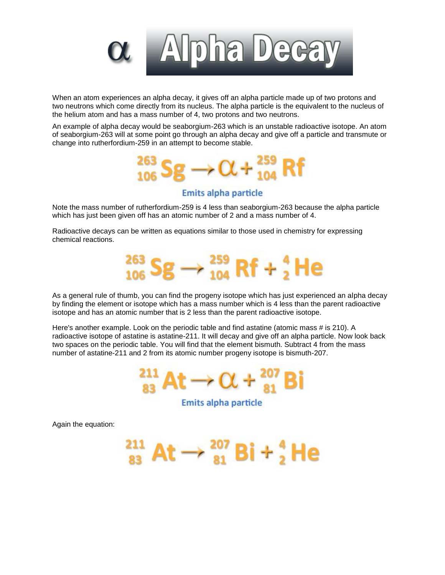

When an atom experiences an alpha decay, it gives off an alpha particle made up of two protons and two neutrons which come directly from its nucleus. The alpha particle is the equivalent to the nucleus of the helium atom and has a mass number of 4, two protons and two neutrons.

An example of alpha decay would be seaborgium-263 which is an unstable radioactive isotope. An atom of seaborgium-263 will at some point go through an alpha decay and give off a particle and transmute or change into rutherfordium-259 in an attempt to become stable.



## Emits alpha particle

Note the mass number of rutherfordium-259 is 4 less than seaborgium-263 because the alpha particle which has just been given off has an atomic number of 2 and a mass number of 4.

Radioactive decays can be written as equations similar to those used in chemistry for expressing chemical reactions.



As a general rule of thumb, you can find the progeny isotope which has just experienced an alpha decay by finding the element or isotope which has a mass number which is 4 less than the parent radioactive isotope and has an atomic number that is 2 less than the parent radioactive isotope.

Here's another example. Look on the periodic table and find astatine (atomic mass # is 210). A radioactive isotope of astatine is astatine-211. It will decay and give off an alpha particle. Now look back two spaces on the periodic table. You will find that the element bismuth. Subtract 4 from the mass number of astatine-211 and 2 from its atomic number progeny isotope is bismuth-207.



Emits alpha particle

At  $\rightarrow$   $_{81}^{20\prime}$  Bi +  $_{2}^{4}$  He

Again the equation: